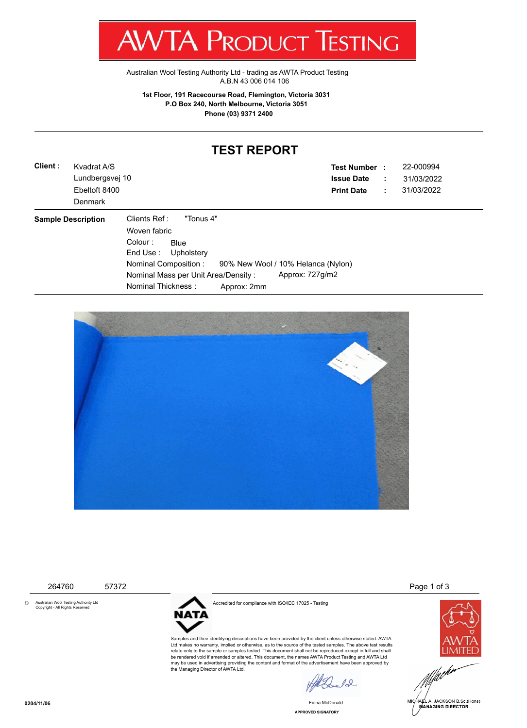T WV I/VI RUDUCT IESHING

[Australian Wool Testing Authority Ltd - trading as AWTA Product Testing](http://www.awtaproducttesting.com.au/) A.B.N 43 006 014 106

**1st Floor, 191 Racecourse Road, Flemington, Victoria 3031 P.O Box 240, North Melbourne, Victoria 3051 Phone (03) 9371 2400**

## **TEST REPORT**

| Client: | Kvadrat A/S               | <b>Test Number :</b>                                        |         | 22-000994  |
|---------|---------------------------|-------------------------------------------------------------|---------|------------|
|         | Lundbergsvej 10           | <b>Issue Date</b>                                           | ÷<br>÷. | 31/03/2022 |
|         | Ebeltoft 8400             | <b>Print Date</b>                                           |         | 31/03/2022 |
|         | Denmark                   |                                                             |         |            |
|         | <b>Sample Description</b> | Clients Ref :<br>"Tonus 4"                                  |         |            |
|         |                           | Woven fabric                                                |         |            |
|         |                           | Colour:<br><b>Blue</b>                                      |         |            |
|         |                           | End Use: Upholstery                                         |         |            |
|         |                           | Nominal Composition :<br>90% New Wool / 10% Helanca (Nylon) |         |            |
|         |                           | Approx: 727g/m2<br>Nominal Mass per Unit Area/Density:      |         |            |
|         |                           | Nominal Thickness:<br>Approx: 2mm                           |         |            |



© Australian Wool Testing Authority Ltd Copyright - All Rights Reserved



Accredited for compliance with ISO/IEC 17025 - Testing

Samples and their identifying descriptions have been provided by the client unless otherwise stated. AWTA Ltd makes no warranty, implied or otherwise, as to the source of the tested samples. The above test results relate only to the sample or samples tested. This document shall not be reproduced except in full and shall be rendered void if amended or altered. This document, the names AWTA Product Testing and AWTA Ltd may be used in advertising providing the content and format of the advertisement have been approved by the Managing Director of AWTA Ltd.

 $\ell_{\infty}$ 

**APPROVED SIGNATORY** Fiona McDonald

264760 57372 Page 1 of 3



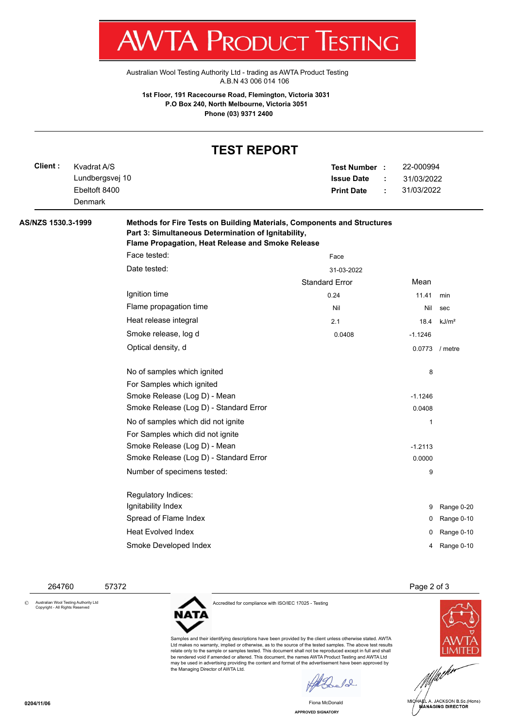T W VIA E RUDUCT IESHINU

[Australian Wool Testing Authority Ltd - trading as AWTA Product Testing](http://www.awtaproducttesting.com.au/) A.B.N 43 006 014 106

**1st Floor, 191 Racecourse Road, Flemington, Victoria 3031 P.O Box 240, North Melbourne, Victoria 3051 Phone (03) 9371 2400**

## **TEST REPORT**

| Client :           | Kvadrat A/S     |                                        | Test Number :         | 22-000994<br>31/03/2022 |                   |  |  |  |  |
|--------------------|-----------------|----------------------------------------|-----------------------|-------------------------|-------------------|--|--|--|--|
|                    | Lundbergsvej 10 |                                        | <b>Issue Date</b>     |                         |                   |  |  |  |  |
|                    | Ebeltoft 8400   |                                        | <b>Print Date</b>     | 31/03/2022              |                   |  |  |  |  |
|                    | <b>Denmark</b>  |                                        |                       |                         |                   |  |  |  |  |
| AS/NZS 1530.3-1999 |                 |                                        |                       |                         |                   |  |  |  |  |
|                    |                 | Face tested:                           | Face                  |                         |                   |  |  |  |  |
|                    |                 | Date tested:                           | 31-03-2022            |                         |                   |  |  |  |  |
|                    |                 |                                        | <b>Standard Error</b> | Mean                    |                   |  |  |  |  |
|                    |                 | Ignition time                          | 0.24                  | 11.41                   | min               |  |  |  |  |
|                    |                 | Flame propagation time                 | Nil                   | Nil                     | sec               |  |  |  |  |
|                    |                 | Heat release integral                  | 2.1                   | 18.4                    | kJ/m <sup>2</sup> |  |  |  |  |
|                    |                 | Smoke release, log d                   | 0.0408                | $-1.1246$               |                   |  |  |  |  |
|                    |                 | Optical density, d                     |                       |                         | 0.0773 / metre    |  |  |  |  |
|                    |                 | No of samples which ignited            |                       | 8                       |                   |  |  |  |  |
|                    |                 | For Samples which ignited              |                       |                         |                   |  |  |  |  |
|                    |                 | Smoke Release (Log D) - Mean           |                       | $-1.1246$               |                   |  |  |  |  |
|                    |                 | Smoke Release (Log D) - Standard Error |                       | 0.0408                  |                   |  |  |  |  |
|                    |                 | No of samples which did not ignite     |                       | 1                       |                   |  |  |  |  |
|                    |                 | For Samples which did not ignite       |                       |                         |                   |  |  |  |  |
|                    |                 | Smoke Release (Log D) - Mean           |                       | $-1.2113$               |                   |  |  |  |  |
|                    |                 | Smoke Release (Log D) - Standard Error |                       | 0.0000                  |                   |  |  |  |  |
|                    |                 | Number of specimens tested:            |                       | 9                       |                   |  |  |  |  |
|                    |                 | Regulatory Indices:                    |                       |                         |                   |  |  |  |  |
|                    |                 | Ignitability Index                     |                       | 9                       | Range 0-20        |  |  |  |  |
|                    |                 | Spread of Flame Index                  |                       | 0                       | Range 0-10        |  |  |  |  |
|                    |                 | <b>Heat Evolved Index</b>              |                       | 0                       | Range 0-10        |  |  |  |  |
|                    |                 | Smoke Developed Index                  |                       | 4                       | Range 0-10        |  |  |  |  |
|                    |                 |                                        |                       |                         |                   |  |  |  |  |

264760 57372 Page 2 of 3

© Australian Wool Testing Authority Ltd Copyright - All Rights Reserved

Accredited for compliance with ISO/IEC 17025 - Testing

NATA

Samples and their identifying descriptions have been provided by the client unless otherwise stated. AWTA Ltd makes no warranty, implied or otherwise, as to the source of the tested samples. The above test results relate only to the sample or samples tested. This document shall not be reproduced except in full and shall be rendered void if amended or altered. This document, the names AWTA Product Testing and AWTA Ltd may be used in advertising providing the content and format of the advertisement have been approved by the Managing Director of AWTA Ltd.

 $\sqrt{2}$ 

Fiona McDonald





**0204/11/06**

**APPROVED SIGNATORY**